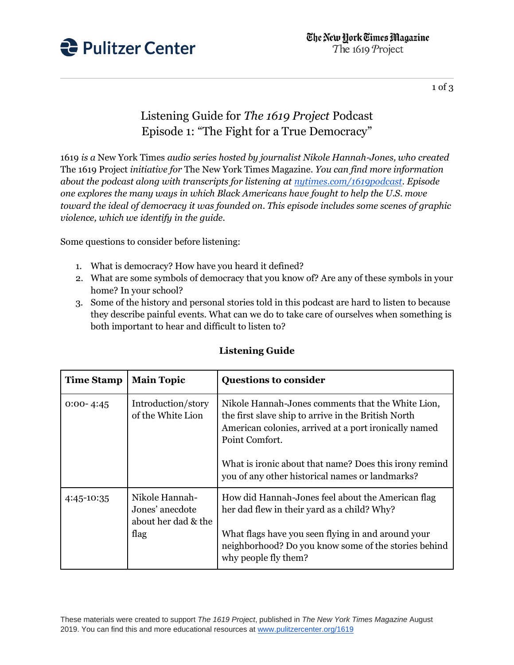

1 of 3

## Listening Guide for *The 1619 Project* Podcast Episode 1: "The Fight for a True Democracy"

1619 *is a* New York Times *audio series hosted by journalist Nikole Hannah-Jones, who created*  The 1619 Project *initiative for* The New York Times Magazine*. You can find more information about the podcast along with transcripts for listening at [nytimes.com/1619podcast.](https://www.nytimes.com/2020/01/23/podcasts/1619-podcast.html) Episode one explores the many ways in which Black Americans have fought to help the U.S. move toward the ideal of democracy it was founded on. This episode includes some scenes of graphic violence, which we identify in the guide.*

Some questions to consider before listening:

- 1. What is democracy? How have you heard it defined?
- 2. What are some symbols of democracy that you know of? Are any of these symbols in your home? In your school?
- 3. Some of the history and personal stories told in this podcast are hard to listen to because they describe painful events. What can we do to take care of ourselves when something is both important to hear and difficult to listen to?

| <b>Time Stamp</b> | <b>Main Topic</b>                                                | <b>Questions to consider</b>                                                                                                                                                                                                                                                                     |
|-------------------|------------------------------------------------------------------|--------------------------------------------------------------------------------------------------------------------------------------------------------------------------------------------------------------------------------------------------------------------------------------------------|
| $0:00 - 4:45$     | Introduction/story<br>of the White Lion                          | Nikole Hannah-Jones comments that the White Lion,<br>the first slave ship to arrive in the British North<br>American colonies, arrived at a port ironically named<br>Point Comfort.<br>What is ironic about that name? Does this irony remind<br>you of any other historical names or landmarks? |
| 4:45-10:35        | Nikole Hannah-<br>Jones' anecdote<br>about her dad & the<br>flag | How did Hannah-Jones feel about the American flag<br>her dad flew in their yard as a child? Why?<br>What flags have you seen flying in and around your<br>neighborhood? Do you know some of the stories behind<br>why people fly them?                                                           |

## **Listening Guide**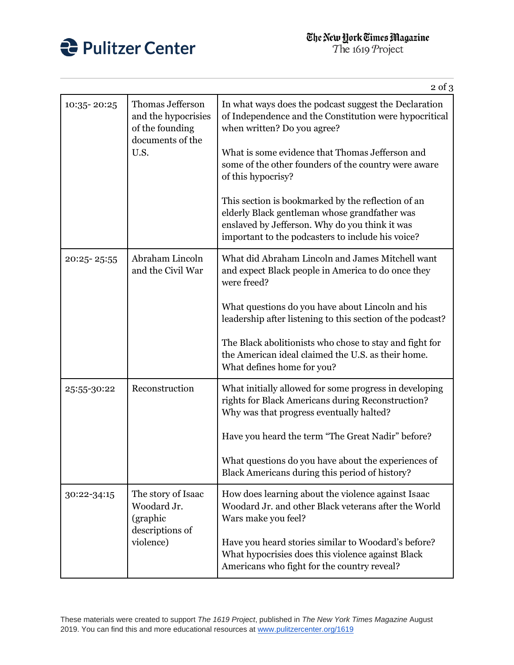

|             |                                                                                        | $2$ of $3$                                                                                                                                                                                                                                                                      |
|-------------|----------------------------------------------------------------------------------------|---------------------------------------------------------------------------------------------------------------------------------------------------------------------------------------------------------------------------------------------------------------------------------|
| 10:35-20:25 | Thomas Jefferson<br>and the hypocrisies<br>of the founding<br>documents of the<br>U.S. | In what ways does the podcast suggest the Declaration<br>of Independence and the Constitution were hypocritical<br>when written? Do you agree?<br>What is some evidence that Thomas Jefferson and<br>some of the other founders of the country were aware<br>of this hypocrisy? |
|             |                                                                                        | This section is bookmarked by the reflection of an<br>elderly Black gentleman whose grandfather was<br>enslaved by Jefferson. Why do you think it was<br>important to the podcasters to include his voice?                                                                      |
| 20:25-25:55 | Abraham Lincoln<br>and the Civil War                                                   | What did Abraham Lincoln and James Mitchell want<br>and expect Black people in America to do once they<br>were freed?                                                                                                                                                           |
|             |                                                                                        | What questions do you have about Lincoln and his<br>leadership after listening to this section of the podcast?                                                                                                                                                                  |
|             |                                                                                        | The Black abolitionists who chose to stay and fight for<br>the American ideal claimed the U.S. as their home.<br>What defines home for you?                                                                                                                                     |
| 25:55-30:22 | Reconstruction                                                                         | What initially allowed for some progress in developing<br>rights for Black Americans during Reconstruction?<br>Why was that progress eventually halted?                                                                                                                         |
|             |                                                                                        | Have you heard the term "The Great Nadir" before?                                                                                                                                                                                                                               |
|             |                                                                                        | What questions do you have about the experiences of<br>Black Americans during this period of history?                                                                                                                                                                           |
| 30:22-34:15 | The story of Isaac<br>Woodard Jr.<br>(graphic<br>descriptions of<br>violence)          | How does learning about the violence against Isaac<br>Woodard Jr. and other Black veterans after the World<br>Wars make you feel?                                                                                                                                               |
|             |                                                                                        | Have you heard stories similar to Woodard's before?<br>What hypocrisies does this violence against Black<br>Americans who fight for the country reveal?                                                                                                                         |